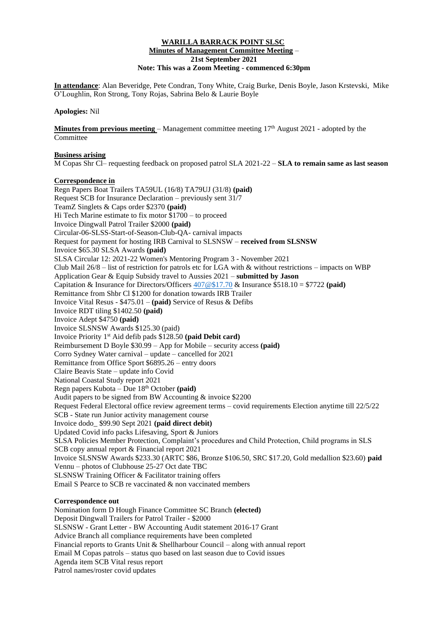### **WARILLA BARRACK POINT SLSC Minutes of Management Committee Meeting** – **21st September 2021 Note: This was a Zoom Meeting - commenced 6:30pm**

**In attendance**: Alan Beveridge, Pete Condran, Tony White, Craig Burke, Denis Boyle, Jason Krstevski, Mike O'Loughlin, Ron Strong, Tony Rojas, Sabrina Belo & Laurie Boyle

#### **Apologies:** Nil

**Minutes from previous meeting** – Management committee meeting  $17<sup>th</sup>$  August 2021 - adopted by the Committee

#### **Business arising**

M Copas Shr Cl– requesting feedback on proposed patrol SLA 2021-22 – **SLA to remain same as last season**

### **Correspondence in**

Regn Papers Boat Trailers TA59UL (16/8) TA79UJ (31/8) **(paid)** Request SCB for Insurance Declaration – previously sent 31/7 TeamZ Singlets & Caps order \$2370 **(paid)** Hi Tech Marine estimate to fix motor \$1700 – to proceed Invoice Dingwall Patrol Trailer \$2000 **(paid)** Circular-06-SLSS-Start-of-Season-Club-QA- carnival impacts Request for payment for hosting IRB Carnival to SLSNSW – **received from SLSNSW** Invoice \$65.30 SLSA Awards **(paid)** SLSA Circular 12: 2021-22 Women's Mentoring Program 3 - November 2021 Club Mail  $26/8$  – list of restriction for patrols etc for LGA with & without restrictions – impacts on WBP Application Gear & Equip Subsidy travel to Aussies 2021 – **submitted by Jason** Capitation & Insurance for Directors/Officers [407@\\$17.70](mailto:407@$17.70) & Insurance \$518.10 = \$7722 **(paid)** Remittance from Shbr Cl \$1200 for donation towards IRB Trailer Invoice Vital Resus - \$475.01 – **(paid)** Service of Resus & Defibs Invoice RDT tiling \$1402.50 **(paid)** Invoice Adept \$4750 **(paid)** Invoice SLSNSW Awards \$125.30 (paid) Invoice Priority 1st Aid defib pads \$128.50 **(paid Debit card)** Reimbursement D Boyle \$30.99 – App for Mobile – security access **(paid)** Corro Sydney Water carnival – update – cancelled for 2021 Remittance from Office Sport \$6895.26 – entry doors Claire Beavis State – update info Covid National Coastal Study report 2021 Regn papers Kubota – Due 18th October **(paid)** Audit papers to be signed from BW Accounting & invoice \$2200 Request Federal Electoral office review agreement terms – covid requirements Election anytime till 22/5/22 SCB - State run Junior activity management course Invoice dodo\_ \$99.90 Sept 2021 **(paid direct debit)** Updated Covid info packs Lifesaving, Sport & Juniors SLSA Policies Member Protection, Complaint's procedures and Child Protection, Child programs in SLS SCB copy annual report & Financial report 2021 Invoice SLSNSW Awards \$233.30 (ARTC \$86, Bronze \$106.50, SRC \$17.20, Gold medallion \$23.60) **paid**  Vennu – photos of Clubhouse 25-27 Oct date TBC SLSNSW Training Officer & Facilitator training offers Email S Pearce to SCB re vaccinated & non vaccinated members

## **Correspondence out**

Nomination form D Hough Finance Committee SC Branch **(elected)** Deposit Dingwall Trailers for Patrol Trailer - \$2000 SLSNSW - Grant Letter - BW Accounting Audit statement 2016-17 Grant Advice Branch all compliance requirements have been completed Financial reports to Grants Unit & Shellharbour Council – along with annual report Email M Copas patrols – status quo based on last season due to Covid issues Agenda item SCB Vital resus report Patrol names/roster covid updates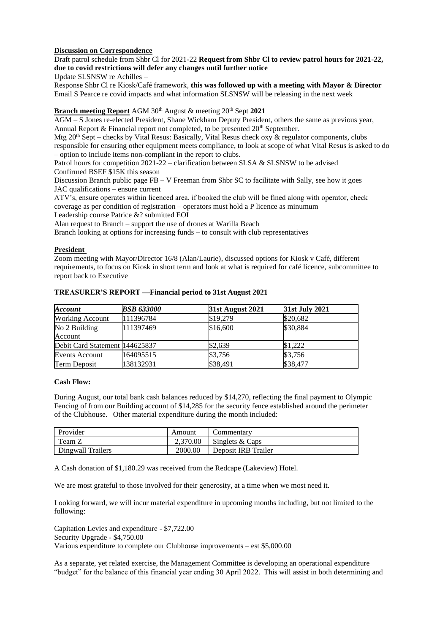# **Discussion on Correspondence**

Draft patrol schedule from Shbr Cl for 2021-22 **Request from Shbr Cl to review patrol hours for 2021-22, due to covid restrictions will defer any changes until further notice**

Update SLSNSW re Achilles –

Response Shbr Cl re Kiosk/Café framework, **this was followed up with a meeting with Mayor & Director** Email S Pearce re covid impacts and what information SLSNSW will be releasing in the next week

# **Branch meeting Report** AGM  $30<sup>th</sup>$  August & meeting  $20<sup>th</sup>$  Sept 2021

AGM – S Jones re-elected President, Shane Wickham Deputy President, others the same as previous year, Annual Report  $\&$  Financial report not completed, to be presented  $20<sup>th</sup>$  September.

Mtg  $20<sup>th</sup>$  Sept – checks by Vital Resus: Basically, Vital Resus check oxy & regulator components, clubs responsible for ensuring other equipment meets compliance, to look at scope of what Vital Resus is asked to do – option to include items non-compliant in the report to clubs.

Patrol hours for competition  $2021-22$  – clarification between SLSA & SLSNSW to be advised Confirmed BSEF \$15K this season

Discussion Branch public page FB – V Freeman from Shbr SC to facilitate with Sally, see how it goes JAC qualifications – ensure current

ATV's, ensure operates within licenced area, if booked the club will be fined along with operator, check coverage as per condition of registration – operators must hold a P licence as minumum

Leadership course Patrice &? submitted EOI

Alan request to Branch – support the use of drones at Warilla Beach

Branch looking at options for increasing funds – to consult with club representatives

# **President**

Zoom meeting with Mayor/Director 16/8 (Alan/Laurie), discussed options for Kiosk v Café, different requirements, to focus on Kiosk in short term and look at what is required for café licence, subcommittee to report back to Executive

| <b>Account</b>                 | <b>BSB 633000</b> | <b>31st August 2021</b> | 31st July 2021 |
|--------------------------------|-------------------|-------------------------|----------------|
| <b>Working Account</b>         | 111396784         | \$19,279                | \$20,682       |
| No 2 Building                  | 111397469         | \$16,600                | \$30,884       |
| Account                        |                   |                         |                |
| Debit Card Statement 144625837 |                   | \$2,639                 | \$1,222        |
| <b>Events Account</b>          | 164095515         | \$3,756                 | \$3,756        |
| Term Deposit                   | 138132931         | \$38,491                | \$38,477       |

### **TREASURER'S REPORT ––Financial period to 31st August 2021**

## **Cash Flow:**

During August, our total bank cash balances reduced by \$14,270, reflecting the final payment to Olympic Fencing of from our Building account of \$14,285 for the security fence established around the perimeter of the Clubhouse. Other material expenditure during the month included:

| Provider          | Amount   | Commentary          |
|-------------------|----------|---------------------|
| Team Z            | 2.370.00 | Singlets & Caps     |
| Dingwall Trailers | 2000.00  | Deposit IRB Trailer |

A Cash donation of \$1,180.29 was received from the Redcape (Lakeview) Hotel.

We are most grateful to those involved for their generosity, at a time when we most need it.

Looking forward, we will incur material expenditure in upcoming months including, but not limited to the following:

Capitation Levies and expenditure - \$7,722.00 Security Upgrade - \$4,750.00 Various expenditure to complete our Clubhouse improvements – est \$5,000.00

As a separate, yet related exercise, the Management Committee is developing an operational expenditure "budget" for the balance of this financial year ending 30 April 2022. This will assist in both determining and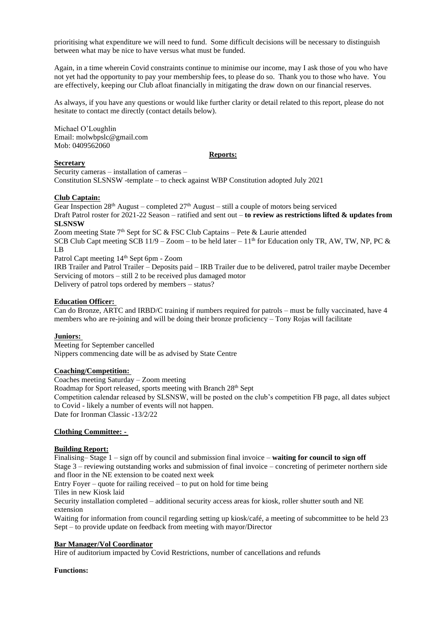prioritising what expenditure we will need to fund. Some difficult decisions will be necessary to distinguish between what may be nice to have versus what must be funded.

Again, in a time wherein Covid constraints continue to minimise our income, may I ask those of you who have not yet had the opportunity to pay your membership fees, to please do so. Thank you to those who have. You are effectively, keeping our Club afloat financially in mitigating the draw down on our financial reserves.

As always, if you have any questions or would like further clarity or detail related to this report, please do not hesitate to contact me directly (contact details below).

Michael O'Loughlin Email: [molwbpslc@gmail.com](about:blank) Mob: 0409562060

#### **Reports:**

## **Secretary**

Security cameras – installation of cameras –

Constitution SLSNSW -template – to check against WBP Constitution adopted July 2021

### **Club Captain:**

Gear Inspection  $28<sup>th</sup>$  August – completed  $27<sup>th</sup>$  August – still a couple of motors being serviced Draft Patrol roster for 2021-22 Season – ratified and sent out – **to review as restrictions lifted & updates from SLSNSW**

Zoom meeting State 7<sup>th</sup> Sept for SC & FSC Club Captains – Pete & Laurie attended

SCB Club Capt meeting SCB 11/9 – Zoom – to be held later –  $11<sup>th</sup>$  for Education only TR, AW, TW, NP, PC & LB

Patrol Capt meeting 14th Sept 6pm - Zoom

IRB Trailer and Patrol Trailer – Deposits paid – IRB Trailer due to be delivered, patrol trailer maybe December Servicing of motors – still 2 to be received plus damaged motor Delivery of patrol tops ordered by members – status?

### **Education Officer:**

Can do Bronze, ARTC and IRBD/C training if numbers required for patrols – must be fully vaccinated, have 4 members who are re-joining and will be doing their bronze proficiency – Tony Rojas will facilitate

#### **Juniors:**

Meeting for September cancelled Nippers commencing date will be as advised by State Centre

#### **Coaching/Competition:**

Coaches meeting Saturday – Zoom meeting Roadmap for Sport released, sports meeting with Branch 28<sup>th</sup> Sept Competition calendar released by SLSNSW, will be posted on the club's competition FB page, all dates subject to Covid - likely a number of events will not happen. Date for Ironman Classic -13/2/22

# **Clothing Committee: -**

#### **Building Report:**

Finalising– Stage 1 – sign off by council and submission final invoice – **waiting for council to sign off** Stage 3 – reviewing outstanding works and submission of final invoice – concreting of perimeter northern side and floor in the NE extension to be coated next week

Entry Foyer – quote for railing received – to put on hold for time being

Tiles in new Kiosk laid

Security installation completed – additional security access areas for kiosk, roller shutter south and NE extension

Waiting for information from council regarding setting up kiosk/café, a meeting of subcommittee to be held 23 Sept – to provide update on feedback from meeting with mayor/Director

## **Bar Manager/Vol Coordinator**

Hire of auditorium impacted by Covid Restrictions, number of cancellations and refunds

## **Functions:**